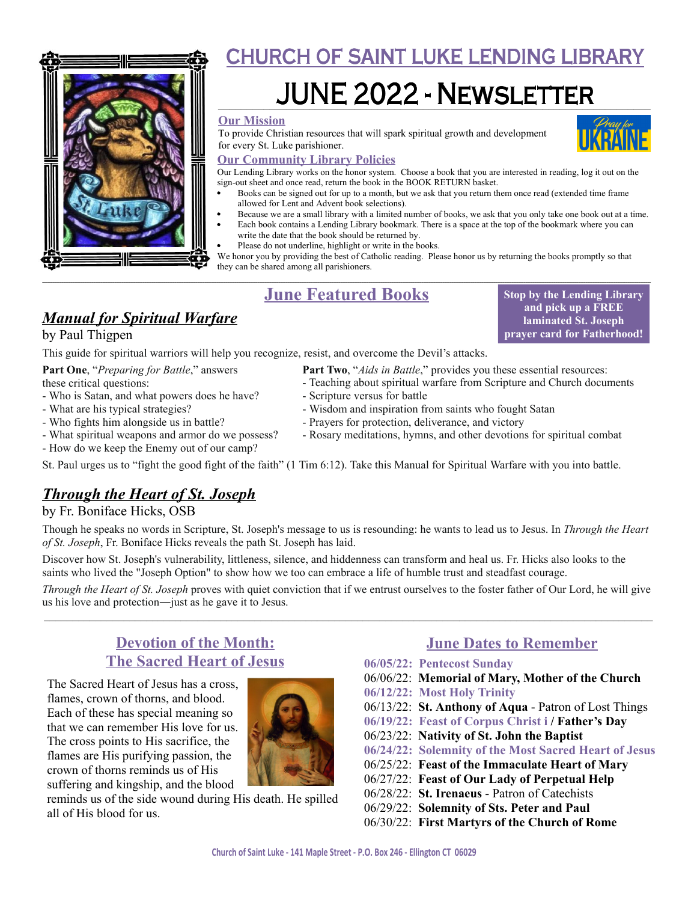

# **CHURCH OF SAINT LUKE LENDING LIBRARY**

# <u> JUNE 2022 - NEWSLETTER</u>

#### **Our Mission**

To provide Christian resources that will spark spiritual growth and development for every St. Luke parishioner.



**Stop by the Lending Library and pick up a FREE laminated St. Joseph prayer card for Fatherhood!**

#### **Our Community Library Policies**

Our Lending Library works on the honor system. Choose a book that you are interested in reading, log it out on the sign-out sheet and once read, return the book in the BOOK RETURN basket.

- Books can be signed out for up to a month, but we ask that you return them once read (extended time frame allowed for Lent and Advent book selections).
- Because we are a small library with a limited number of books, we ask that you only take one book out at a time.
- Each book contains a Lending Library bookmark. There is a space at the top of the bookmark where you can write the date that the book should be returned by.
	- Please do not underline, highlight or write in the books.

We honor you by providing the best of Catholic reading. Please honor us by returning the books promptly so that they can be shared among all parishioners.

#### **\_\_\_\_\_\_\_\_\_\_\_\_\_\_\_\_\_\_\_\_\_\_\_\_\_\_\_\_\_\_\_\_\_\_\_\_\_\_\_\_\_\_\_\_\_\_\_\_\_\_\_\_\_\_\_\_\_\_\_\_\_\_\_\_\_\_\_\_\_\_\_\_\_\_\_\_\_\_\_\_\_\_\_\_\_\_\_\_\_\_\_\_\_\_\_\_\_\_\_\_\_\_\_\_\_\_\_\_\_\_\_\_\_\_\_\_\_\_\_\_\_\_\_\_\_\_\_\_\_\_\_\_\_\_\_\_\_\_\_\_\_\_\_\_\_\_\_\_\_\_\_\_\_\_\_\_\_\_\_\_\_\_\_\_\_\_\_\_\_\_\_\_\_\_\_\_\_\_\_\_\_\_\_\_\_\_\_\_\_\_\_\_\_\_\_\_\_\_\_\_\_\_\_\_\_\_\_\_\_\_\_\_\_\_\_\_\_\_\_\_\_\_\_\_\_\_\_\_\_\_\_\_\_\_\_\_\_\_\_\_\_\_\_\_\_\_\_\_\_\_\_\_\_\_\_\_\_\_\_\_\_\_\_\_\_\_\_\_\_\_\_\_\_\_\_\_\_\_\_\_\_\_\_\_\_\_\_\_\_\_\_\_\_\_\_\_\_\_\_\_\_\_\_\_\_\_\_\_\_\_\_\_\_\_\_\_\_\_\_\_\_\_\_\_\_\_\_\_\_\_\_\_\_\_\_\_\_\_\_\_\_\_\_\_\_ June Featured Books**

# *Manual for Spiritual Warfare*

by Paul Thigpen

This guide for spiritual warriors will help you recognize, resist, and overcome the Devil's attacks.

**Part One**, "*Preparing for Battle*," answers these critical questions:

- Who is Satan, and what powers does he have?
- What are his typical strategies?
- Who fights him alongside us in battle?
- What spiritual weapons and armor do we possess?
- How do we keep the Enemy out of our camp?
- **Part Two**, "*Aids in Battle*," provides you these essential resources:
- Teaching about spiritual warfare from Scripture and Church documents
- Scripture versus for battle
	- Wisdom and inspiration from saints who fought Satan
	- Prayers for protection, deliverance, and victory
	- Rosary meditations, hymns, and other devotions for spiritual combat
- St. Paul urges us to "fight the good fight of the faith" (1 Tim 6:12). Take this Manual for Spiritual Warfare with you into battle.

# *Through the Heart of St. Joseph*

## by Fr. Boniface Hicks, OSB

Though he speaks no words in Scripture, St. Joseph's message to us is resounding: he wants to lead us to Jesus. In *Through the Heart of St. Joseph*, Fr. Boniface Hicks reveals the path St. Joseph has laid.

Discover how St. Joseph's vulnerability, littleness, silence, and hiddenness can transform and heal us. Fr. Hicks also looks to the saints who lived the "Joseph Option" to show how we too can embrace a life of humble trust and steadfast courage.

\_\_\_\_\_\_\_\_\_\_\_\_\_\_\_\_\_\_\_\_\_\_\_\_\_\_\_\_\_\_\_\_\_\_\_\_\_\_\_\_\_\_\_\_\_\_\_\_\_\_\_\_\_\_\_\_\_\_\_\_\_\_\_\_\_\_\_\_\_\_\_\_\_\_\_\_\_\_\_\_\_\_\_\_\_\_\_\_\_\_\_\_\_\_\_\_\_\_\_\_\_\_\_\_\_\_\_ *Through the Heart of St. Joseph* proves with quiet conviction that if we entrust ourselves to the foster father of Our Lord, he will give us his love and protection―just as he gave it to Jesus.

# **Devotion of the Month: The Sacred Heart of Jesus**

The Sacred Heart of Jesus has a cross, flames, crown of thorns, and blood. Each of these has special meaning so that we can remember His love for us. The cross points to His sacrifice, the flames are His purifying passion, the crown of thorns reminds us of His suffering and kingship, and the blood



reminds us of the side wound during His death. He spilled all of His blood for us.

# **June Dates to Remember**

**06/05/22: Pentecost Sunday** 06/06/22: **Memorial of Mary, Mother of the Church 06/12/22: Most Holy Trinity** 06/13/22: **St. Anthony of Aqua** - Patron of Lost Things **06/19/22: Feast of Corpus Christ i / Father's Day** 06/23/22: **Nativity of St. John the Baptist 06/24/22: Solemnity of the Most Sacred Heart of Jesus** 06/25/22: **Feast of the Immaculate Heart of Mary** 06/27/22: **Feast of Our Lady of Perpetual Help** 06/28/22: **St. Irenaeus** - Patron of Catechists 06/29/22: **Solemnity of Sts. Peter and Paul** 06/30/22: **First Martyrs of the Church of Rome**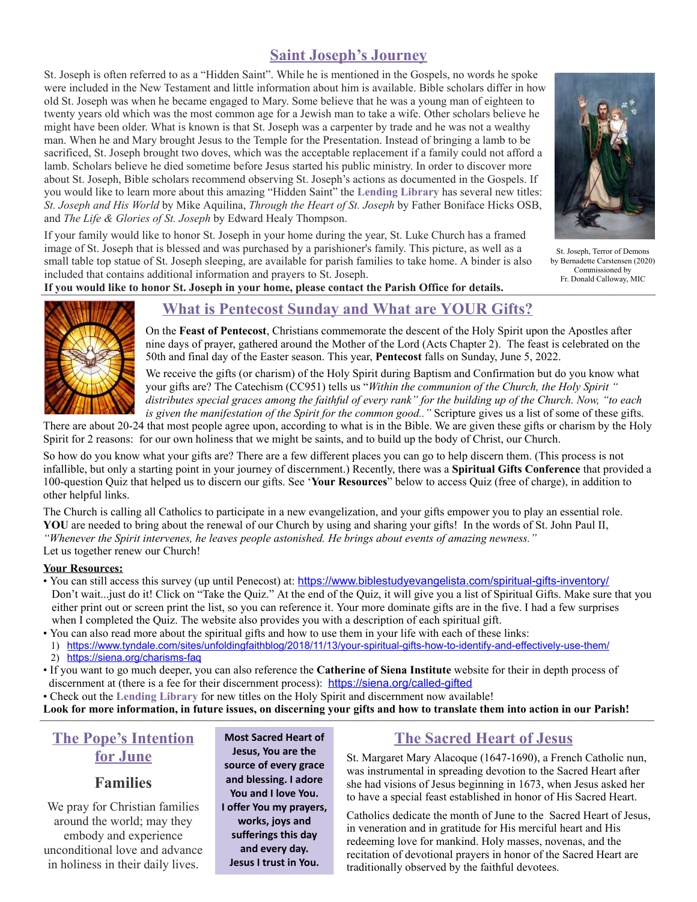# **Saint Joseph's Journey**

St. Joseph is often referred to as a "Hidden Saint". While he is mentioned in the Gospels, no words he spoke were included in the New Testament and little information about him is available. Bible scholars differ in how old St. Joseph was when he became engaged to Mary. Some believe that he was a young man of eighteen to twenty years old which was the most common age for a Jewish man to take a wife. Other scholars believe he might have been older. What is known is that St. Joseph was a carpenter by trade and he was not a wealthy man. When he and Mary brought Jesus to the Temple for the Presentation. Instead of bringing a lamb to be sacrificed, St. Joseph brought two doves, which was the acceptable replacement if a family could not afford a lamb. Scholars believe he died sometime before Jesus started his public ministry. In order to discover more about St. Joseph, Bible scholars recommend observing St. Joseph's actions as documented in the Gospels. If you would like to learn more about this amazing "Hidden Saint" the **Lending Library** has several new titles: *St. Joseph and His World* by Mike Aquilina, *Through the Heart of St. Joseph* by Father Boniface Hicks OSB, and *The Life & Glories of St. Joseph* by Edward Healy Thompson.

If your family would like to honor St. Joseph in your home during the year, St. Luke Church has a framed image of St. Joseph that is blessed and was purchased by a parishioner's family. This picture, as well as a small table top statue of St. Joseph sleeping, are available for parish families to take home. A binder is also included that contains additional information and prayers to St. Joseph.



St. Joseph, Terror of Demons by Bernadette Carstensen (2020) Commissioned by Fr. Donald Calloway, MIC

If you would like to honor St. Joseph in your home, please contact the Parish Office for details.



## **What is Pentecost Sunday and What are YOUR Gifts?**

On the **Feast of Pentecost**, Christians commemorate the descent of the Holy Spirit upon the Apostles after nine days of prayer, gathered around the Mother of the Lord (Acts Chapter 2). The feast is celebrated on the 50th and final day of the Easter season. This year, **Pentecost** falls on Sunday, June 5, 2022.

We receive the gifts (or charism) of the Holy Spirit during Baptism and Confirmation but do you know what your gifts are? The Catechism (CC951) tells us "*Within the communion of the Church, the Holy Spirit "* distributes special graces among the faithful of every rank" for the building up of the Church. Now, "to each *is given the manifestation of the Spirit for the common good.."* Scripture gives us a list of some of these gifts.

There are about 20-24 that most people agree upon, according to what is in the Bible. We are given these gifts or charism by the Holy Spirit for 2 reasons: for our own holiness that we might be saints, and to build up the body of Christ, our Church.

So how do you know what your gifts are? There are a few different places you can go to help discern them. (This process is not infallible, but only a starting point in your journey of discernment.) Recently, there was a **Spiritual Gifts Conference** that provided a 100-question Quiz that helped us to discern our gifts. See '**Your Resources**" below to access Quiz (free of charge), in addition to other helpful links.

The Church is calling all Catholics to participate in a new evangelization, and your gifts empower you to play an essential role. YOU are needed to bring about the renewal of our Church by using and sharing your gifts! In the words of St. John Paul II, *"Whenever the Spirit intervenes, he leaves people astonished. He brings about events of amazing newness."* Let us together renew our Church!

#### **Your Resources:**

- You can still access this survey (up until Penecost) at: <https://www.biblestudyevangelista.com/spiritual-gifts-inventory/> Don't wait...just do it! Click on "Take the Quiz." At the end of the Quiz, it will give you a list of Spiritual Gifts. Make sure that you either print out or screen print the list, so you can reference it. Your more dominate gifts are in the five. I had a few surprises when I completed the Quiz. The website also provides you with a description of each spiritual gift.
- You can also read more about the spiritual gifts and how to use them in your life with each of these links:
- 1) <https://www.tyndale.com/sites/unfoldingfaithblog/2018/11/13/your-spiritual-gifts-how-to-identify-and-effectively-use-them/> 2) <https://siena.org/charisms-faq>
- If you want to go much deeper, you can also reference the **Catherine of Siena Institute** website for their in depth process of discernment at (there is a fee for their discernment process): <https://siena.org/called-gifted>
- Check out the **Lending Library** for new titles on the Holy Spirit and discernment now available!
- Look for more information, in future issues, on discerning your gifts and how to translate them into action in our Parish!

# **The Pope's Intention for June**

## **Families**

We pray for Christian families around the world; may they embody and experience unconditional love and advance in holiness in their daily lives.

**Most Sacred Heart of Jesu s, Yo u are th e so u rce o f every grace a n d b lessin g. I a d o re Yo u a n d I lo ve Yo u . I o ffer Yo u m y p rayers, works, joys and sufferings this day a n d every d ay. Jesu s I tru st in Yo u .**

# **The Sacred Heart of Jesus**

St. Margaret Mary Alacoque (1647-1690), a French Catholic nun, was instrumental in spreading devotion to the Sacred Heart after she had visions of Jesus beginning in 1673, when Jesus asked her to have a special feast established in honor of His Sacred Heart.

Catholics dedicate the month of June to the Sacred Heart of Jesus, in veneration and in gratitude for His merciful heart and His redeeming love for mankind. Holy masses, novenas, and the recitation of devotional prayers in honor of the Sacred Heart are traditionally observed by the faithful devotees.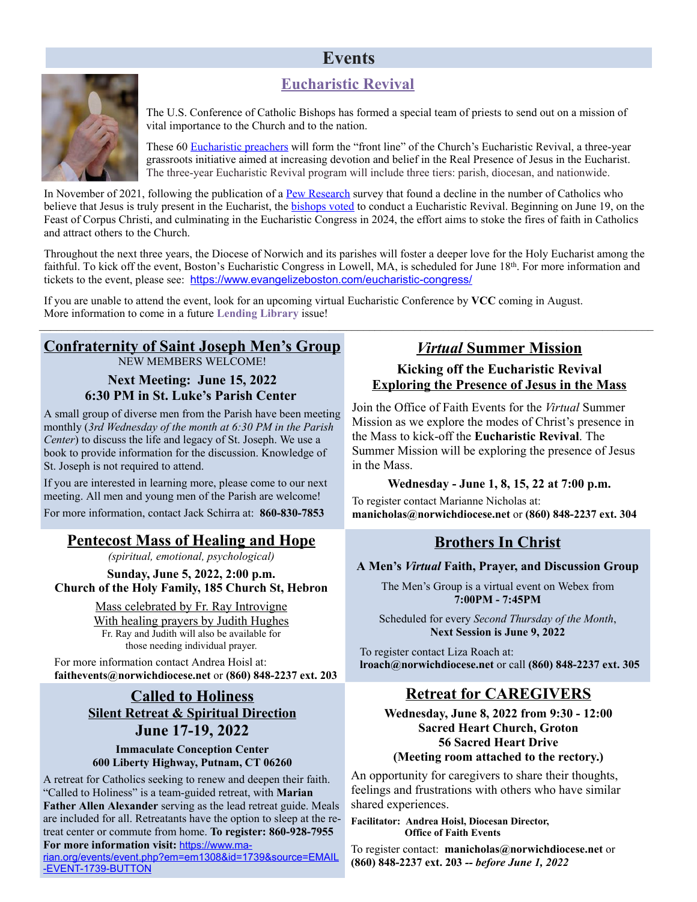# **Events**

# **Eucharistic Revival**



The U.S. Conference of Catholic Bishops has formed a special team of priests to send out on a mission of vital importance to the Church and to the nation.

These 60 [Eucharistic](https://eucharisticrevival.org/eucharistic-preachers/) preachers will form the "front line" of the Church's Eucharistic Revival, a three-year grassroots initiative aimed at increasing devotion and belief in the Real Presence of Jesus in the Eucharist. The three-year Eucharistic Revival program will include three tiers: parish, diocesan, and nationwide.

In November of 2021, following the publication of a Pew [Research](https://www.pewresearch.org/religion/2021/12/14/about-three-in-ten-u-s-adults-are-now-religiously-unaffiliated/) survey that found a decline in the number of Catholics who believe that Jesus is truly present in the Eucharist, the [bishops](https://aleteia.org/2021/07/17/what-is-a-eucharistic-revival-and-why-do-we-need-it-so-badly/) voted to conduct a Eucharistic Revival. Beginning on June 19, on the Feast of Corpus Christi, and culminating in the Eucharistic Congress in 2024, the effort aims to stoke the fires of faith in Catholics and attract others to the Church.

Throughout the next three years, the Diocese of Norwich and its parishes will foster a deeper love for the Holy Eucharist among the faithful. To kick off the event, Boston's Eucharistic Congress in Lowell, MA, is scheduled for June 18<sup>th</sup>. For more information and tickets to the event, please see: <https://www.evangelizeboston.com/eucharistic-congress/>

If you are unable to attend the event, look for an upcoming virtual Eucharistic Conference by **VCC** coming in August. More information to come in a future **Lending Library** issue! \_\_\_\_\_\_\_\_\_\_\_\_\_\_\_\_\_\_\_\_*\_\_\_\_\_\_\_\_\_\_\_\_\_\_\_\_\_*\_\_\_\_\_\_\_\_\_\_\_\_\_\_\_\_\_\_\_\_\_\_\_\_\_\_\_\_\_\_\_\_\_\_\_\_\_\_\_\_\_\_\_\_\_\_\_\_\_\_\_\_\_\_\_\_\_\_\_\_\_\_\_\_\_\_\_\_\_\_\_

#### **Confraternity of Saint Joseph Men's Group** NEW MEMBERS WELCOME!

**Next Meeting: June 15, 2022 6:30 PM in St. Luke's Parish Center**

A small group of diverse men from the Parish have been meeting monthly (*3rd Wednesday of the month at 6:30 PM in the Parish Center*) to discuss the life and legacy of St. Joseph. We use a book to provide information for the discussion. Knowledge of St. Joseph is not required to attend.

If you are interested in learning more, please come to our next meeting. All men and young men of the Parish are welcome!

For more information, contact Jack Schirra at: **860-830-7853**

## **Pentecost Mass of Healing and Hope**

*(spiritual, emotional, psychological)*

**Sunday, June 5, 2022, 2:00 p.m. Church of the Holy Family, 185 Church St, Hebron**

> Mass celebrated by Fr. Ray Introvigne With healing prayers by Judith Hughes Fr. Ray and Judith will also be available for those needing individual prayer.

For more information contact Andrea Hoisl at: **faithevents@norwichdiocese.net** or **(860) 848-2237 ext. 203**

## **Called to Holiness Silent Retreat & Spiritual Direction June 17-19, 2022**

#### **Immaculate Conception Center 600 Liberty Highway, Putnam, CT 06260**

A retreat for Catholics seeking to renew and deepen their faith. "Called to Holiness" is a team-guided retreat, with **Marian Father Allen Alexander** serving as the lead retreat guide. Meals are included for all. Retreatants have the option to sleep at the retreat center or commute from home. **To register: 860-928-7955 For more information visit:** [https://www.ma-](https://www.marian.org/events/event.php?em=em1308&id=1739&source=EMAIL-EVENT-1739-BUTTON)

[rian.org/events/event.php?em=em1308&id=1739&source=EMAIL](https://www.marian.org/events/event.php?em=em1308&id=1739&source=EMAIL-EVENT-1739-BUTTON) [-EVENT-1739-BUTTON](https://www.marian.org/events/event.php?em=em1308&id=1739&source=EMAIL-EVENT-1739-BUTTON)

# *Virtual* **Summer Mission**

## **Kicking off the Eucharistic Revival Exploring the Presence of Jesus in the Mass**

Join the Office of Faith Events for the *Virtual* Summer Mission as we explore the modes of Christ's presence in the Mass to kick-off the **Eucharistic Revival**. The Summer Mission will be exploring the presence of Jesus in the Mass.

## **Wednesday - June 1, 8, 15, 22 at 7:00 p.m.**

To register contact Marianne Nicholas at: **manicholas@norwichdiocese.net** or **(860) 848-2237 ext. 304**

# **Brothers In Christ**

## **A Men's** *Virtual* **Faith, Prayer, and Discussion Group**

The Men's Group is a virtual event on Webex from **7:00PM - 7:45PM**

Scheduled for every *Second Thursday of the Month*, **Next Session is June 9, 2022**

To register contact Liza Roach at: **lroach@norwichdiocese.net** or call **(860) 848-2237 ext. 305**

# **Retreat for CAREGIVERS**

**Wednesday, June 8, 2022 from 9:30 - 12:00 Sacred Heart Church, Groton 56 Sacred Heart Drive (Meeting room attached to the rectory.)**

An opportunity for caregivers to share their thoughts, feelings and frustrations with others who have similar shared experiences.

**Facilitator: Andrea Hoisl, Diocesan Director, Office of Faith Events**

To register contact: **manicholas@norwichdiocese.net** or **(860) 848-2237 ext. 203** *-- before June 1, 2022*